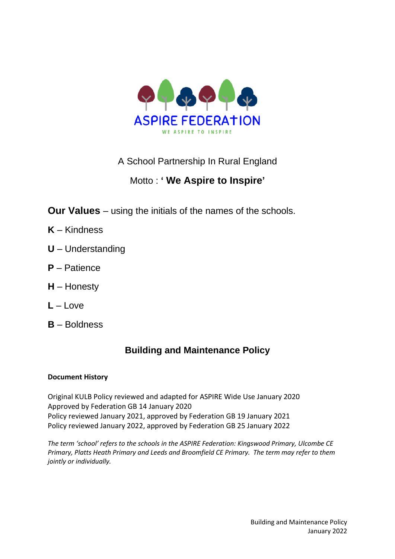

## A School Partnership In Rural England

# Motto : **' We Aspire to Inspire'**

**Our Values** – using the initials of the names of the schools.

- **K** Kindness
- **U** Understanding
- **P** Patience
- **H** Honesty
- $L I$  ove
- **B** Boldness

# **Building and Maintenance Policy**

## **Document History**

Original KULB Policy reviewed and adapted for ASPIRE Wide Use January 2020 Approved by Federation GB 14 January 2020 Policy reviewed January 2021, approved by Federation GB 19 January 2021 Policy reviewed January 2022, approved by Federation GB 25 January 2022

*The term 'school' refers to the schools in the ASPIRE Federation: Kingswood Primary, Ulcombe CE Primary, Platts Heath Primary and Leeds and Broomfield CE Primary. The term may refer to them jointly or individually.*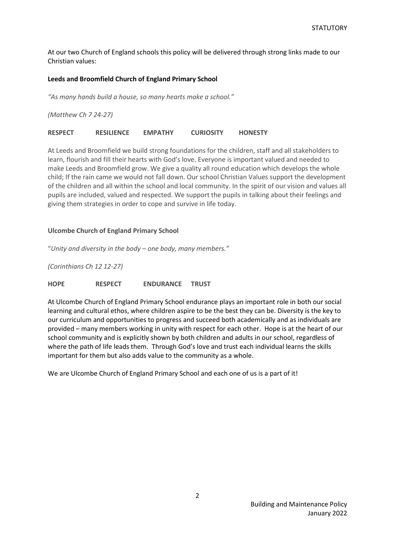At our two Church of England schools this policy will be delivered through strong links made to our Christian values:

#### **Leeds and Broomfield Church of England Primary School**

*"As many hands build a house, so many hearts make a school."*

*(Matthew Ch 7 24-27)*

**RESPECT RESILIENCE EMPATHY CURIOSITY HONESTY**

At Leeds and Broomfield we build strong foundations for the children, staff and all stakeholders to learn, flourish and fill their hearts with God's love. Everyone is important valued and needed to make Leeds and Broomfield grow. We give a quality all round education which develops the whole child; If the rain came we would not fall down. Our school Christian Values support the development of the children and all within the school and local community. In the spirit of our vision and values all pupils are included, valued and respected. We support the pupils in talking about their feelings and giving them strategies in order to cope and survive in life today.

#### **Ulcombe Church of England Primary School**

"*Unity and diversity in the body – one body, many members."*

*(Corinthians Ch 12 12-27)*

**HOPE RESPECT ENDURANCE TRUST**

At Ulcombe Church of England Primary School endurance plays an important role in both our social learning and cultural ethos, where children aspire to be the best they can be. Diversity is the key to our curriculum and opportunities to progress and succeed both academically and as individuals are provided – many members working in unity with respect for each other. Hope is at the heart of our school community and is explicitly shown by both children and adults in our school, regardless of where the path of life leads them. Through God's love and trust each individual learns the skills important for them but also adds value to the community as a whole.

We are Ulcombe Church of England Primary School and each one of us is a part of it!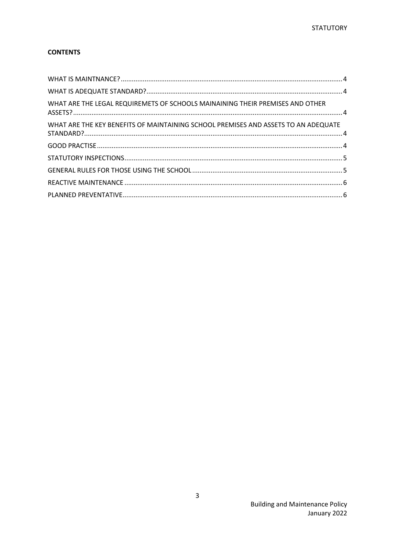### **CONTENTS**

<span id="page-2-0"></span>

| WHAT ARE THE LEGAL REQUIREMETS OF SCHOOLS MAINAINING THEIR PREMISES AND OTHER      |  |
|------------------------------------------------------------------------------------|--|
| WHAT ARE THE KEY BENEFITS OF MAINTAINING SCHOOL PREMISES AND ASSETS TO AN ADEQUATE |  |
|                                                                                    |  |
|                                                                                    |  |
|                                                                                    |  |
|                                                                                    |  |
|                                                                                    |  |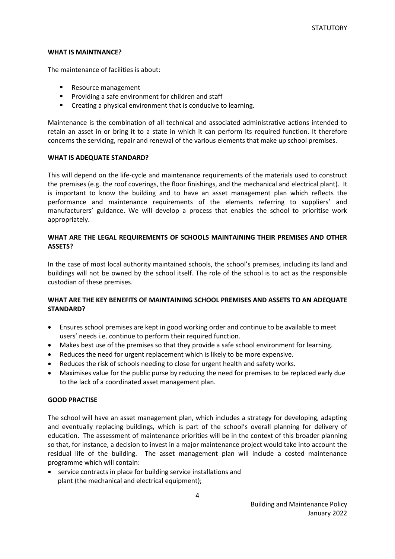#### **WHAT IS MAINTNANCE?**

The maintenance of facilities is about:

- Resource management
- Providing a safe environment for children and staff
- Creating a physical environment that is conducive to learning.

Maintenance is the combination of all technical and associated administrative actions intended to retain an asset in or bring it to a state in which it can perform its required function. It therefore concerns the servicing, repair and renewal of the various elements that make up school premises.

#### <span id="page-3-0"></span>**WHAT IS ADEQUATE STANDARD?**

This will depend on the life-cycle and maintenance requirements of the materials used to construct the premises (e.g. the roof coverings, the floor finishings, and the mechanical and electrical plant). It is important to know the building and to have an asset management plan which reflects the performance and maintenance requirements of the elements referring to suppliers' and manufacturers' guidance. We will develop a process that enables the school to prioritise work appropriately.

#### <span id="page-3-1"></span>**WHAT ARE THE LEGAL REQUIREMENTS OF SCHOOLS MAINTAINING THEIR PREMISES AND OTHER ASSETS?**

In the case of most local authority maintained schools, the school's premises, including its land and buildings will not be owned by the school itself. The role of the school is to act as the responsible custodian of these premises.

### <span id="page-3-2"></span>**WHAT ARE THE KEY BENEFITS OF MAINTAINING SCHOOL PREMISES AND ASSETS TO AN ADEQUATE STANDARD?**

- Ensures school premises are kept in good working order and continue to be available to meet users' needs i.e. continue to perform their required function.
- Makes best use of the premises so that they provide a safe school environment for learning.
- Reduces the need for urgent replacement which is likely to be more expensive.
- Reduces the risk of schools needing to close for urgent health and safety works.
- Maximises value for the public purse by reducing the need for premises to be replaced early due to the lack of a coordinated asset management plan.

#### <span id="page-3-3"></span>**GOOD PRACTISE**

The school will have an asset management plan, which includes a strategy for developing, adapting and eventually replacing buildings, which is part of the school's overall planning for delivery of education. The assessment of maintenance priorities will be in the context of this broader planning so that, for instance, a decision to invest in a major maintenance project would take into account the residual life of the building. The asset management plan will include a costed maintenance programme which will contain:

• service contracts in place for building service installations and plant (the mechanical and electrical equipment);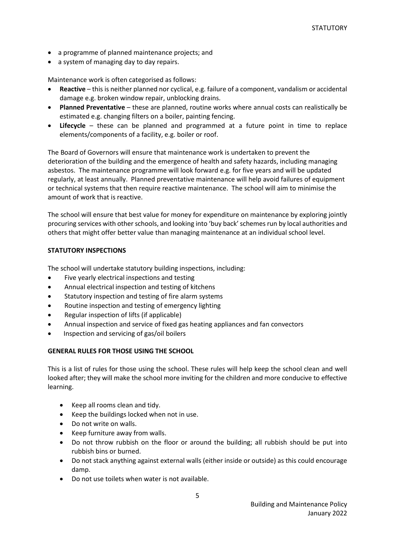- a programme of planned maintenance projects; and
- a system of managing day to day repairs.

Maintenance work is often categorised as follows:

- **Reactive** this is neither planned nor cyclical, e.g. failure of a component, vandalism or accidental damage e.g. broken window repair, unblocking drains.
- **Planned Preventative** these are planned, routine works where annual costs can realistically be estimated e.g. changing filters on a boiler, painting fencing.
- **Lifecycle** these can be planned and programmed at a future point in time to replace elements/components of a facility, e.g. boiler or roof.

The Board of Governors will ensure that maintenance work is undertaken to prevent the deterioration of the building and the emergence of health and safety hazards, including managing asbestos. The maintenance programme will look forward e.g. for five years and will be updated regularly, at least annually. Planned preventative maintenance will help avoid failures of equipment or technical systems that then require reactive maintenance. The school will aim to minimise the amount of work that is reactive.

The school will ensure that best value for money for expenditure on maintenance by exploring jointly procuring services with other schools, and looking into 'buy back' schemes run by local authorities and others that might offer better value than managing maintenance at an individual school level.

#### <span id="page-4-0"></span>**STATUTORY INSPECTIONS**

The school will undertake statutory building inspections, including:

- Five yearly electrical inspections and testing
- Annual electrical inspection and testing of kitchens
- Statutory inspection and testing of fire alarm systems
- Routine inspection and testing of emergency lighting
- Regular inspection of lifts (if applicable)
- Annual inspection and service of fixed gas heating appliances and fan convectors
- Inspection and servicing of gas/oil boilers

#### <span id="page-4-1"></span>**GENERAL RULES FOR THOSE USING THE SCHOOL**

This is a list of rules for those using the school. These rules will help keep the school clean and well looked after; they will make the school more inviting for the children and more conducive to effective learning.

- Keep all rooms clean and tidy.
- Keep the buildings locked when not in use.
- Do not write on walls.
- Keep furniture away from walls.
- Do not throw rubbish on the floor or around the building; all rubbish should be put into rubbish bins or burned.
- Do not stack anything against external walls (either inside or outside) as this could encourage damp.
- Do not use toilets when water is not available.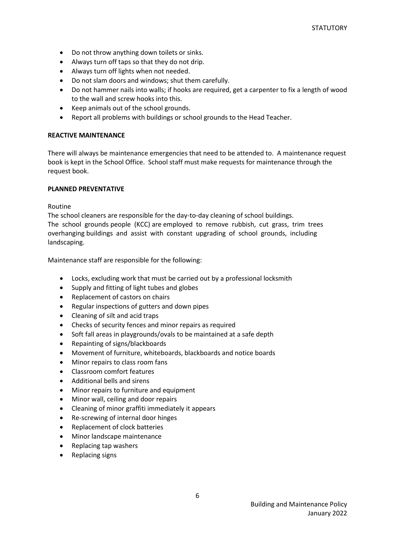- Do not throw anything down toilets or sinks.
- Always turn off taps so that they do not drip.
- Always turn off lights when not needed.
- Do not slam doors and windows; shut them carefully.
- Do not hammer nails into walls; if hooks are required, get a carpenter to fix a length of wood to the wall and screw hooks into this.
- Keep animals out of the school grounds.
- Report all problems with buildings or school grounds to the Head Teacher.

#### <span id="page-5-0"></span>**REACTIVE MAINTENANCE**

There will always be maintenance emergencies that need to be attended to. A maintenance request book is kept in the School Office. School staff must make requests for maintenance through the request book.

#### <span id="page-5-1"></span>**PLANNED PREVENTATIVE**

Routine

The school cleaners are responsible for the day-to-day cleaning of school buildings. The school grounds people (KCC) are employed to remove rubbish, cut grass, trim trees overhanging buildings and assist with constant upgrading of school grounds, including landscaping.

Maintenance staff are responsible for the following:

- Locks, excluding work that must be carried out by a professional locksmith
- Supply and fitting of light tubes and globes
- Replacement of castors on chairs
- Regular inspections of gutters and down pipes
- Cleaning of silt and acid traps
- Checks of security fences and minor repairs as required
- Soft fall areas in playgrounds/ovals to be maintained at a safe depth
- Repainting of signs/blackboards
- Movement of furniture, whiteboards, blackboards and notice boards
- Minor repairs to class room fans
- Classroom comfort features
- Additional bells and sirens
- Minor repairs to furniture and equipment
- Minor wall, ceiling and door repairs
- Cleaning of minor graffiti immediately it appears
- Re‐screwing of internal door hinges
- Replacement of clock batteries
- Minor landscape maintenance
- Replacing tap washers
- Replacing signs